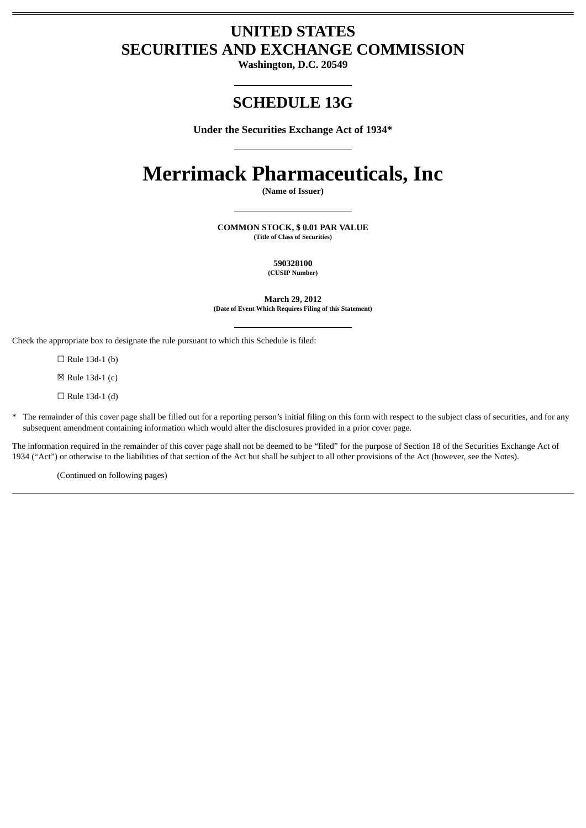## **UNITED STATES SECURITIES AND EXCHANGE COMMISSION**

**Washington, D.C. 20549**

## **SCHEDULE 13G**

**Under the Securities Exchange Act of 1934\***

# **Merrimack Pharmaceuticals, Inc**

**(Name of Issuer)**

**COMMON STOCK, \$ 0.01 PAR VALUE (Title of Class of Securities)**

> **590328100 (CUSIP Number)**

**March 29, 2012 (Date of Event Which Requires Filing of this Statement)**

Check the appropriate box to designate the rule pursuant to which this Schedule is filed:

 $\Box$  Rule 13d-1 (b)

☒ Rule 13d-1 (c)

☐ Rule 13d-1 (d)

\* The remainder of this cover page shall be filled out for a reporting person's initial filing on this form with respect to the subject class of securities, and for any subsequent amendment containing information which would alter the disclosures provided in a prior cover page.

The information required in the remainder of this cover page shall not be deemed to be "filed" for the purpose of Section 18 of the Securities Exchange Act of 1934 ("Act") or otherwise to the liabilities of that section of the Act but shall be subject to all other provisions of the Act (however, see the Notes).

(Continued on following pages)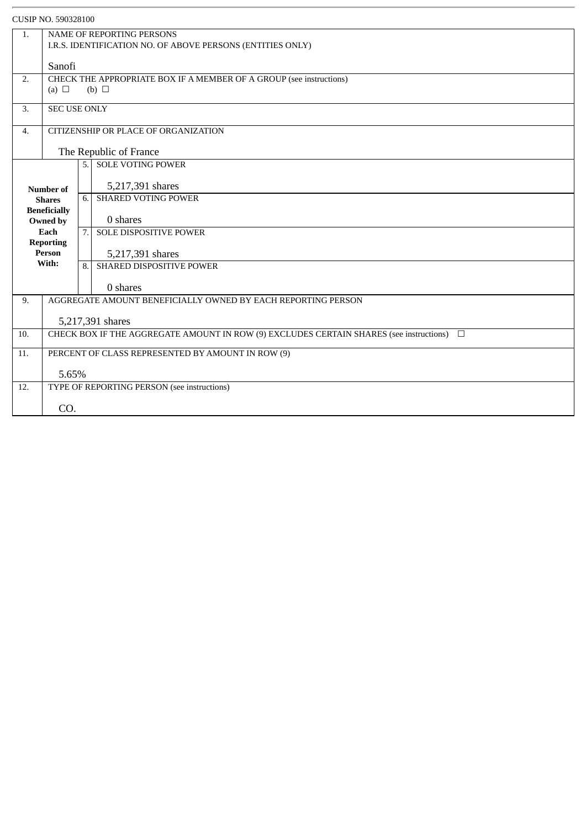| CUSIP NO. 590328100      |                                                                                                   |                  |                               |  |
|--------------------------|---------------------------------------------------------------------------------------------------|------------------|-------------------------------|--|
| 1.                       | NAME OF REPORTING PERSONS<br>I.R.S. IDENTIFICATION NO. OF ABOVE PERSONS (ENTITIES ONLY)           |                  |                               |  |
|                          | Sanofi                                                                                            |                  |                               |  |
| 2.                       | CHECK THE APPROPRIATE BOX IF A MEMBER OF A GROUP (see instructions)<br>(a) $\Box$<br>(b) $\Box$   |                  |                               |  |
| 3.                       | <b>SEC USE ONLY</b>                                                                               |                  |                               |  |
| 4.                       | CITIZENSHIP OR PLACE OF ORGANIZATION                                                              |                  |                               |  |
|                          | The Republic of France                                                                            |                  |                               |  |
|                          |                                                                                                   | 5.1              | <b>SOLE VOTING POWER</b>      |  |
|                          | Number of                                                                                         |                  | 5,217,391 shares              |  |
|                          | <b>Shares</b>                                                                                     | 6.               | <b>SHARED VOTING POWER</b>    |  |
| <b>Beneficially</b>      |                                                                                                   |                  |                               |  |
|                          | Owned by                                                                                          |                  | 0 shares                      |  |
| Each<br><b>Reporting</b> |                                                                                                   | $\overline{7}$ . | <b>SOLE DISPOSITIVE POWER</b> |  |
| <b>Person</b>            |                                                                                                   |                  | 5,217,391 shares              |  |
|                          | With:                                                                                             | 8.               | SHARED DISPOSITIVE POWER      |  |
|                          |                                                                                                   |                  | 0 shares                      |  |
| 9.                       | AGGREGATE AMOUNT BENEFICIALLY OWNED BY EACH REPORTING PERSON                                      |                  |                               |  |
|                          | 5,217,391 shares                                                                                  |                  |                               |  |
| 10.                      | CHECK BOX IF THE AGGREGATE AMOUNT IN ROW (9) EXCLUDES CERTAIN SHARES (see instructions)<br>$\Box$ |                  |                               |  |
| 11.                      |                                                                                                   |                  |                               |  |
|                          | PERCENT OF CLASS REPRESENTED BY AMOUNT IN ROW (9)                                                 |                  |                               |  |
|                          | 5.65%                                                                                             |                  |                               |  |
| 12.                      | TYPE OF REPORTING PERSON (see instructions)                                                       |                  |                               |  |
|                          | CO.                                                                                               |                  |                               |  |
|                          |                                                                                                   |                  |                               |  |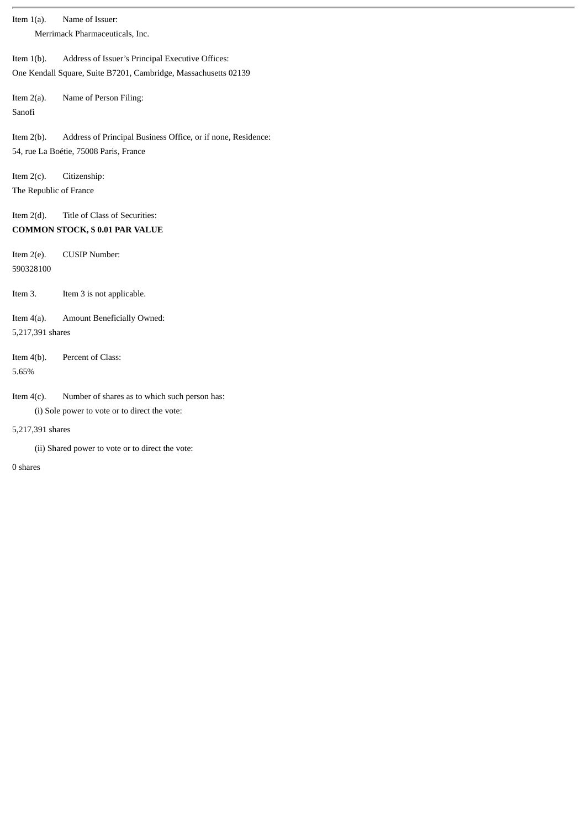| Item $1(a)$ .                                                                           | Name of Issuer:                                                                                                     |  |  |  |
|-----------------------------------------------------------------------------------------|---------------------------------------------------------------------------------------------------------------------|--|--|--|
| Merrimack Pharmaceuticals, Inc.                                                         |                                                                                                                     |  |  |  |
| Item $1(b)$ .                                                                           | Address of Issuer's Principal Executive Offices:<br>One Kendall Square, Suite B7201, Cambridge, Massachusetts 02139 |  |  |  |
| Item $2(a)$ .<br>Sanofi                                                                 | Name of Person Filing:                                                                                              |  |  |  |
| Item $2(b)$ .                                                                           | Address of Principal Business Office, or if none, Residence:<br>54, rue La Boétie, 75008 Paris, France              |  |  |  |
| Item $2(c)$ .<br>The Republic of France                                                 | Citizenship:                                                                                                        |  |  |  |
| Title of Class of Securities:<br>Item $2(d)$ .<br><b>COMMON STOCK, \$0.01 PAR VALUE</b> |                                                                                                                     |  |  |  |
| Item $2(e)$ .<br>590328100                                                              | <b>CUSIP Number:</b>                                                                                                |  |  |  |
| Item 3.                                                                                 | Item 3 is not applicable.                                                                                           |  |  |  |
| Item $4(a)$ .<br>Amount Beneficially Owned:<br>5,217,391 shares                         |                                                                                                                     |  |  |  |
| Item $4(b)$ .<br>5.65%                                                                  | Percent of Class:                                                                                                   |  |  |  |
| Item $4(c)$ .                                                                           | Number of shares as to which such person has:<br>(i) Sole power to vote or to direct the vote:                      |  |  |  |
| 5,217,391 shares<br>(ii) Shared power to vote or to direct the vote:                    |                                                                                                                     |  |  |  |
|                                                                                         |                                                                                                                     |  |  |  |

0 shares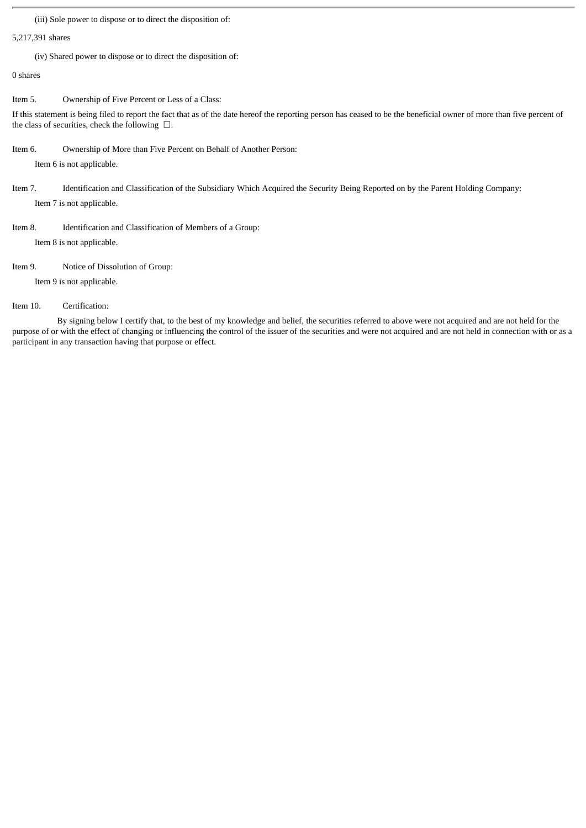(iii) Sole power to dispose or to direct the disposition of:

#### 5,217,391 shares

(iv) Shared power to dispose or to direct the disposition of:

0 shares

Item 5. Ownership of Five Percent or Less of a Class:

If this statement is being filed to report the fact that as of the date hereof the reporting person has ceased to be the beneficial owner of more than five percent of the class of securities, check the following  $\Box$ .

Item 6. Ownership of More than Five Percent on Behalf of Another Person:

Item 6 is not applicable.

Item 7. Identification and Classification of the Subsidiary Which Acquired the Security Being Reported on by the Parent Holding Company: Item 7 is not applicable.

Item 8. Identification and Classification of Members of a Group:

Item 8 is not applicable.

Item 9. Notice of Dissolution of Group:

Item 9 is not applicable.

Item 10. Certification:

By signing below I certify that, to the best of my knowledge and belief, the securities referred to above were not acquired and are not held for the purpose of or with the effect of changing or influencing the control of the issuer of the securities and were not acquired and are not held in connection with or as a participant in any transaction having that purpose or effect.